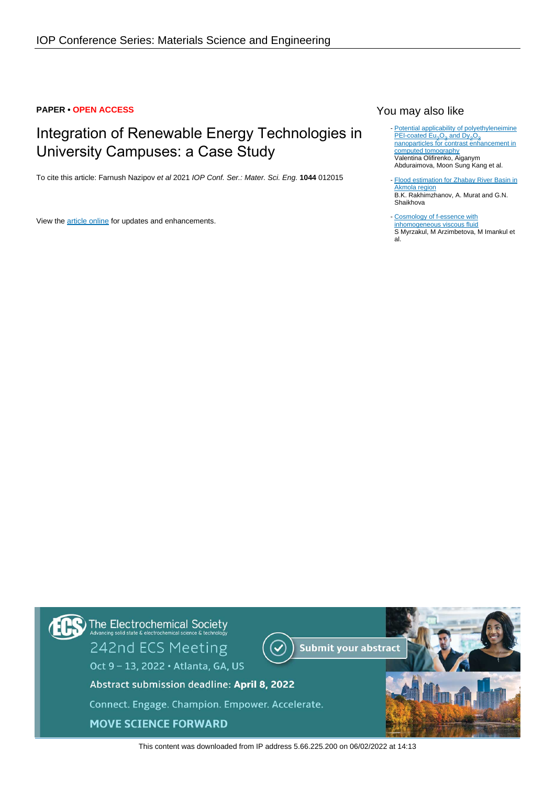## **PAPER • OPEN ACCESS**

# Integration of Renewable Energy Technologies in University Campuses: a Case Study

To cite this article: Farnush Nazipov et al 2021 IOP Conf. Ser.: Mater. Sci. Eng. **1044** 012015

View the [article online](https://doi.org/10.1088/1757-899X/1044/1/012015) for updates and enhancements.

# You may also like

- [Potential applicability of polyethyleneimine](https://iopscience.iop.org/article/10.1088/2632-959X/abe343) [PEI-coated Eu](https://iopscience.iop.org/article/10.1088/2632-959X/abe343)<sub>2</sub>[O](https://iopscience.iop.org/article/10.1088/2632-959X/abe343)<sub>3</sub> [and Dy](https://iopscience.iop.org/article/10.1088/2632-959X/abe343)<sub>2</sub>O<sub>3</sub><br>[nanoparticles for contrast enhancement in](https://iopscience.iop.org/article/10.1088/2632-959X/abe343) [computed tomography](https://iopscience.iop.org/article/10.1088/2632-959X/abe343) Valentina Olifirenko, Aiganym Abduraimova, Moon Sung Kang et al.
- [Flood estimation for Zhabay River Basin in](https://iopscience.iop.org/article/10.1088/1742-6596/1391/1/012168) [Akmola region](https://iopscience.iop.org/article/10.1088/1742-6596/1391/1/012168) B.K. Rakhimzhanov, A. Murat and G.N. Shaikhova

- [Cosmology of f-essence with](https://iopscience.iop.org/article/10.1088/1742-6596/1391/1/012167) [inhomogeneous viscous fluid](https://iopscience.iop.org/article/10.1088/1742-6596/1391/1/012167) S Myrzakul, M Arzimbetova, M Imankul et al.



This content was downloaded from IP address 5.66.225.200 on 06/02/2022 at 14:13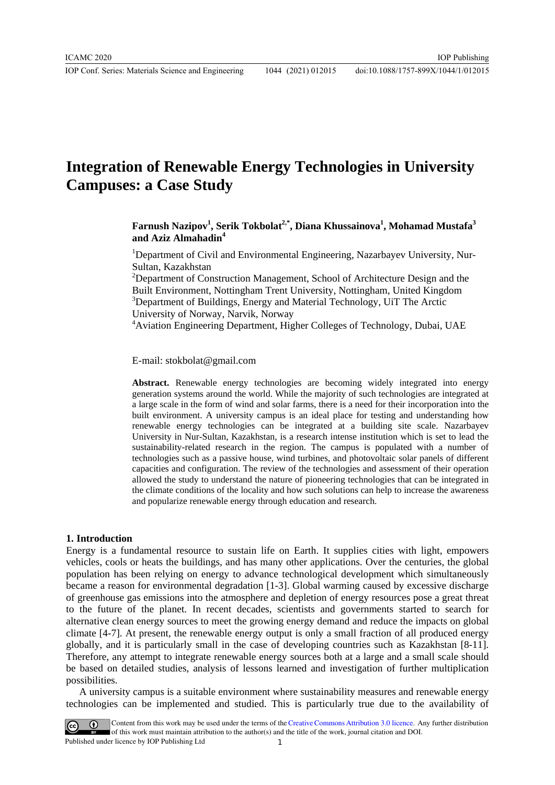IOP Conf. Series: Materials Science and Engineering 1044 (2021) 012015

# **Integration of Renewable Energy Technologies in University Campuses: a Case Study**

# $\mathbf{F}$ arnush Nazipov $^{1}$ , Serik Tokbolat $^{2, *}$ , Diana Khussainova $^{1}$ , Mohamad Mustafa $^{3}$ **and Aziz Almahadin<sup>4</sup>**

<sup>1</sup>Department of Civil and Environmental Engineering, Nazarbayev University, Nur-Sultan, Kazakhstan

<sup>2</sup>Department of Construction Management, School of Architecture Design and the Built Environment, Nottingham Trent University, Nottingham, United Kingdom <sup>3</sup>Department of Buildings, Energy and Material Technology, UiT The Arctic University of Norway, Narvik, Norway

4 Aviation Engineering Department, Higher Colleges of Technology, Dubai, UAE

E-mail: stokbolat@gmail.com

**Abstract.** Renewable energy technologies are becoming widely integrated into energy generation systems around the world. While the majority of such technologies are integrated at a large scale in the form of wind and solar farms, there is a need for their incorporation into the built environment. A university campus is an ideal place for testing and understanding how renewable energy technologies can be integrated at a building site scale. Nazarbayev University in Nur-Sultan, Kazakhstan, is a research intense institution which is set to lead the sustainability-related research in the region. The campus is populated with a number of technologies such as a passive house, wind turbines, and photovoltaic solar panels of different capacities and configuration. The review of the technologies and assessment of their operation allowed the study to understand the nature of pioneering technologies that can be integrated in the climate conditions of the locality and how such solutions can help to increase the awareness and popularize renewable energy through education and research.

#### **1. Introduction**

Energy is a fundamental resource to sustain life on Earth. It supplies cities with light, empowers vehicles, cools or heats the buildings, and has many other applications. Over the centuries, the global population has been relying on energy to advance technological development which simultaneously became a reason for environmental degradation [1-3]. Global warming caused by excessive discharge of greenhouse gas emissions into the atmosphere and depletion of energy resources pose a great threat to the future of the planet. In recent decades, scientists and governments started to search for alternative clean energy sources to meet the growing energy demand and reduce the impacts on global climate [4-7]. At present, the renewable energy output is only a small fraction of all produced energy globally, and it is particularly small in the case of developing countries such as Kazakhstan [8-11]. Therefore, any attempt to integrate renewable energy sources both at a large and a small scale should be based on detailed studies, analysis of lessons learned and investigation of further multiplication possibilities.

A university campus is a suitable environment where sustainability measures and renewable energy technologies can be implemented and studied. This is particularly true due to the availability of

Content from this work may be used under the terms of the Creative Commons Attribution 3.0 licence. Any further distribution of this work must maintain attribution to the author(s) and the title of the work, journal citation and DOI. Published under licence by IOP Publishing Ltd 1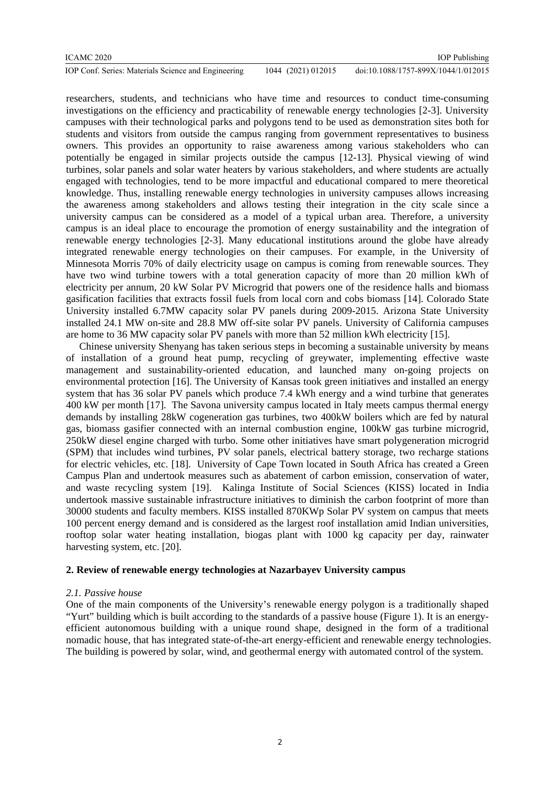#### ICAMC 2020

IOP Conf. Series: Materials Science and Engineering 1044 (2021) 012015 doi:10.1088/1757-899X/1044/1/012015

researchers, students, and technicians who have time and resources to conduct time-consuming investigations on the efficiency and practicability of renewable energy technologies [2-3]. University campuses with their technological parks and polygons tend to be used as demonstration sites both for students and visitors from outside the campus ranging from government representatives to business owners. This provides an opportunity to raise awareness among various stakeholders who can potentially be engaged in similar projects outside the campus [12-13]. Physical viewing of wind turbines, solar panels and solar water heaters by various stakeholders, and where students are actually engaged with technologies, tend to be more impactful and educational compared to mere theoretical knowledge. Thus, installing renewable energy technologies in university campuses allows increasing the awareness among stakeholders and allows testing their integration in the city scale since a university campus can be considered as a model of a typical urban area. Therefore, a university campus is an ideal place to encourage the promotion of energy sustainability and the integration of renewable energy technologies [2-3]. Many educational institutions around the globe have already integrated renewable energy technologies on their campuses. For example, in the University of Minnesota Morris 70% of daily electricity usage on campus is coming from renewable sources. They have two wind turbine towers with a total generation capacity of more than 20 million kWh of electricity per annum, 20 kW Solar PV Microgrid that powers one of the residence halls and biomass gasification facilities that extracts fossil fuels from local corn and cobs biomass [14]. Colorado State University installed 6.7MW capacity solar PV panels during 2009-2015. Arizona State University installed 24.1 MW on-site and 28.8 MW off-site solar PV panels. University of California campuses are home to 36 MW capacity solar PV panels with more than 52 million kWh electricity [15].

Chinese university Shenyang has taken serious steps in becoming a sustainable university by means of installation of a ground heat pump, recycling of greywater, implementing effective waste management and sustainability-oriented education, and launched many on-going projects on environmental protection [16]. The University of Kansas took green initiatives and installed an energy system that has 36 solar PV panels which produce 7.4 kWh energy and a wind turbine that generates 400 kW per month [17]. The Savona university campus located in Italy meets campus thermal energy demands by installing 28kW cogeneration gas turbines, two 400kW boilers which are fed by natural gas, biomass gasifier connected with an internal combustion engine, 100kW gas turbine microgrid, 250kW diesel engine charged with turbo. Some other initiatives have smart polygeneration microgrid (SPM) that includes wind turbines, PV solar panels, electrical battery storage, two recharge stations for electric vehicles, etc. [18]. University of Cape Town located in South Africa has created a Green Campus Plan and undertook measures such as abatement of carbon emission, conservation of water, and waste recycling system [19]. Kalinga Institute of Social Sciences (KISS) located in India undertook massive sustainable infrastructure initiatives to diminish the carbon footprint of more than 30000 students and faculty members. KISS installed 870KWp Solar PV system on campus that meets 100 percent energy demand and is considered as the largest roof installation amid Indian universities, rooftop solar water heating installation, biogas plant with 1000 kg capacity per day, rainwater harvesting system, etc. [20].

#### **2. Review of renewable energy technologies at Nazarbayev University campus**

#### *2.1. Passive house*

One of the main components of the University's renewable energy polygon is a traditionally shaped "Yurt" building which is built according to the standards of a passive house (Figure 1). It is an energyefficient autonomous building with a unique round shape, designed in the form of a traditional nomadic house, that has integrated state-of-the-art energy-efficient and renewable energy technologies. The building is powered by solar, wind, and geothermal energy with automated control of the system.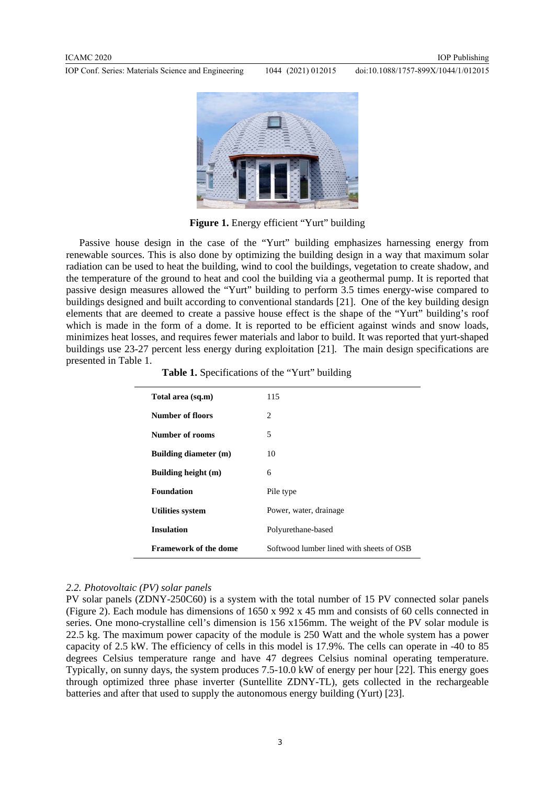IOP Conf. Series: Materials Science and Engineering 1044 (2021) 012015

doi:10.1088/1757-899X/1044/1/012015



Figure 1. Energy efficient "Yurt" building

Passive house design in the case of the "Yurt" building emphasizes harnessing energy from renewable sources. This is also done by optimizing the building design in a way that maximum solar radiation can be used to heat the building, wind to cool the buildings, vegetation to create shadow, and the temperature of the ground to heat and cool the building via a geothermal pump. It is reported that passive design measures allowed the "Yurt" building to perform 3.5 times energy-wise compared to buildings designed and built according to conventional standards [21]. One of the key building design elements that are deemed to create a passive house effect is the shape of the "Yurt" building's roof which is made in the form of a dome. It is reported to be efficient against winds and snow loads, minimizes heat losses, and requires fewer materials and labor to build. It was reported that yurt-shaped buildings use 23-27 percent less energy during exploitation [21]. The main design specifications are presented in Table 1.

**Table 1.** Specifications of the "Yurt" building

| Total area (sq.m)            | 115                                      |  |
|------------------------------|------------------------------------------|--|
| Number of floors             | $\mathfrak{D}_{\mathfrak{p}}$            |  |
| Number of rooms              | 5                                        |  |
| Building diameter (m)        | 10                                       |  |
| Building height (m)          | 6                                        |  |
| <b>Foundation</b>            | Pile type                                |  |
| <b>Utilities system</b>      | Power, water, drainage                   |  |
| <b>Insulation</b>            | Polyurethane-based                       |  |
| <b>Framework of the dome</b> | Softwood lumber lined with sheets of OSB |  |

#### *2.2. Photovoltaic (PV) solar panels*

PV solar panels (ZDNY-250C60) is a system with the total number of 15 PV connected solar panels (Figure 2). Each module has dimensions of 1650 x 992 x 45 mm and consists of 60 cells connected in series. One mono-crystalline cell's dimension is 156 x156mm. The weight of the PV solar module is 22.5 kg. The maximum power capacity of the module is 250 Watt and the whole system has a power capacity of 2.5 kW. The efficiency of cells in this model is 17.9%. The cells can operate in -40 to 85 degrees Celsius temperature range and have 47 degrees Celsius nominal operating temperature. Typically, on sunny days, the system produces 7.5-10.0 kW of energy per hour [22]. This energy goes through optimized three phase inverter (Suntellite ZDNY-TL), gets collected in the rechargeable batteries and after that used to supply the autonomous energy building (Yurt) [23].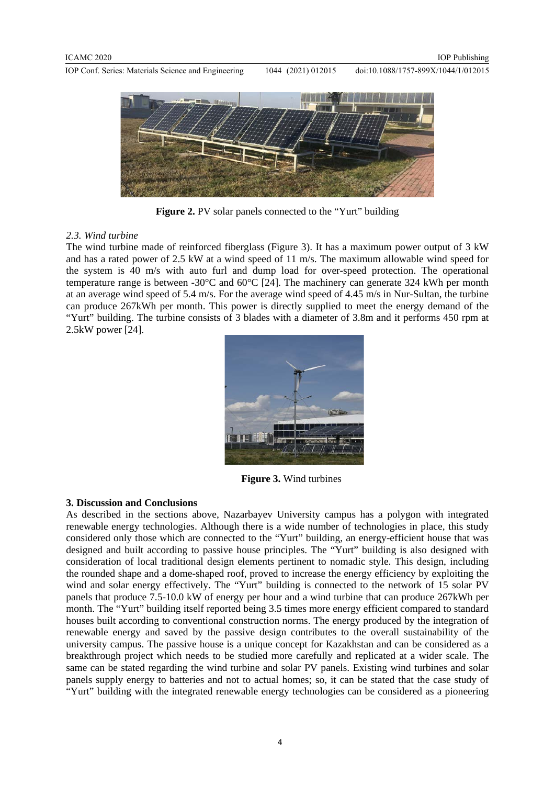IOP Conf. Series: Materials Science and Engineering 1044 (2021) 012015 doi:10.1088/1757-899X/1044/1/012015



**Figure 2.** PV solar panels connected to the "Yurt" building

## *2.3. Wind turbine*

The wind turbine made of reinforced fiberglass (Figure 3). It has a maximum power output of 3 kW and has a rated power of 2.5 kW at a wind speed of 11 m/s. The maximum allowable wind speed for the system is 40 m/s with auto furl and dump load for over-speed protection. The operational temperature range is between -30°C and 60°C [24]. The machinery can generate 324 kWh per month at an average wind speed of 5.4 m/s. For the average wind speed of 4.45 m/s in Nur-Sultan, the turbine can produce 267kWh per month. This power is directly supplied to meet the energy demand of the "Yurt" building. The turbine consists of 3 blades with a diameter of 3.8m and it performs 450 rpm at 2.5kW power [24].



 **Figure 3.** Wind turbines

#### **3. Discussion and Conclusions**

As described in the sections above, Nazarbayev University campus has a polygon with integrated renewable energy technologies. Although there is a wide number of technologies in place, this study considered only those which are connected to the "Yurt" building, an energy-efficient house that was designed and built according to passive house principles. The "Yurt" building is also designed with consideration of local traditional design elements pertinent to nomadic style. This design, including the rounded shape and a dome-shaped roof, proved to increase the energy efficiency by exploiting the wind and solar energy effectively. The "Yurt" building is connected to the network of 15 solar PV panels that produce 7.5-10.0 kW of energy per hour and a wind turbine that can produce 267kWh per month. The "Yurt" building itself reported being 3.5 times more energy efficient compared to standard houses built according to conventional construction norms. The energy produced by the integration of renewable energy and saved by the passive design contributes to the overall sustainability of the university campus. The passive house is a unique concept for Kazakhstan and can be considered as a breakthrough project which needs to be studied more carefully and replicated at a wider scale. The same can be stated regarding the wind turbine and solar PV panels. Existing wind turbines and solar panels supply energy to batteries and not to actual homes; so, it can be stated that the case study of "Yurt" building with the integrated renewable energy technologies can be considered as a pioneering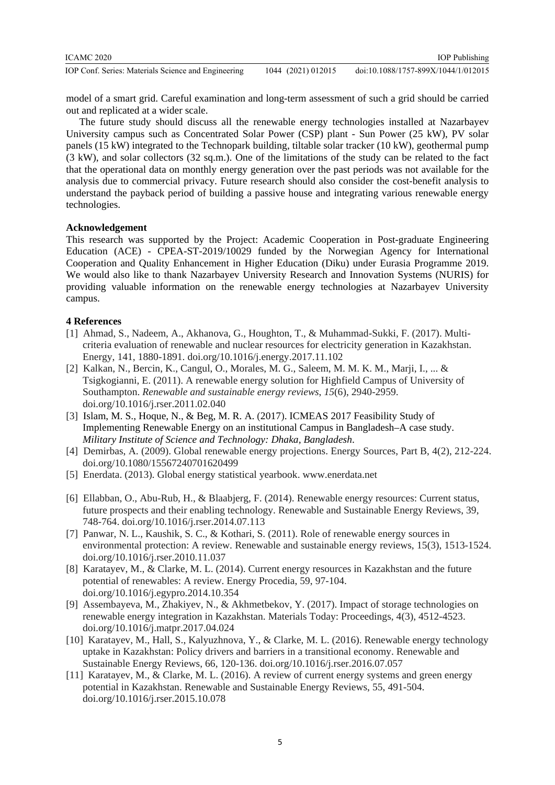| ICAMC 2020                                          |                    | <b>IOP</b> Publishing               |
|-----------------------------------------------------|--------------------|-------------------------------------|
| IOP Conf. Series: Materials Science and Engineering | 1044 (2021) 012015 | doi:10.1088/1757-899X/1044/1/012015 |

model of a smart grid. Careful examination and long-term assessment of such a grid should be carried out and replicated at a wider scale.

The future study should discuss all the renewable energy technologies installed at Nazarbayev University campus such as Concentrated Solar Power (CSP) plant - Sun Power (25 kW), PV solar panels (15 kW) integrated to the Technopark building, tiltable solar tracker (10 kW), geothermal pump (3 kW), and solar collectors (32 sq.m.). One of the limitations of the study can be related to the fact that the operational data on monthly energy generation over the past periods was not available for the analysis due to commercial privacy. Future research should also consider the cost-benefit analysis to understand the payback period of building a passive house and integrating various renewable energy technologies.

## **Acknowledgement**

This research was supported by the Project: Academic Cooperation in Post-graduate Engineering Education (ACE) - CPEA-ST-2019/10029 funded by the Norwegian Agency for International Cooperation and Quality Enhancement in Higher Education (Diku) under Eurasia Programme 2019. We would also like to thank Nazarbayev University Research and Innovation Systems (NURIS) for providing valuable information on the renewable energy technologies at Nazarbayev University campus.

## **4 References**

- [1] Ahmad, S., Nadeem, A., Akhanova, G., Houghton, T., & Muhammad-Sukki, F. (2017). Multicriteria evaluation of renewable and nuclear resources for electricity generation in Kazakhstan. Energy, 141, 1880-1891. doi.org/10.1016/j.energy.2017.11.102
- [2] Kalkan, N., Bercin, K., Cangul, O., Morales, M. G., Saleem, M. M. K. M., Marji, I., ... & Tsigkogianni, E. (2011). A renewable energy solution for Highfield Campus of University of Southampton. *Renewable and sustainable energy reviews*, *15*(6), 2940-2959. doi.org/10.1016/j.rser.2011.02.040
- [3] Islam, M. S., Hoque, N., & Beg, M. R. A. (2017). ICMEAS 2017 Feasibility Study of Implementing Renewable Energy on an institutional Campus in Bangladesh–A case study. *Military Institute of Science and Technology: Dhaka, Bangladesh*.
- [4] Demirbas, A. (2009). Global renewable energy projections. Energy Sources, Part B, 4(2), 212-224. doi.org/10.1080/15567240701620499
- [5] Enerdata. (2013). Global energy statistical yearbook. www.enerdata.net
- [6] Ellabban, O., Abu-Rub, H., & Blaabjerg, F. (2014). Renewable energy resources: Current status, future prospects and their enabling technology. Renewable and Sustainable Energy Reviews, 39, 748-764. doi.org/10.1016/j.rser.2014.07.113
- [7] Panwar, N. L., Kaushik, S. C., & Kothari, S. (2011). Role of renewable energy sources in environmental protection: A review. Renewable and sustainable energy reviews, 15(3), 1513-1524. doi.org/10.1016/j.rser.2010.11.037
- [8] Karatayev, M., & Clarke, M. L. (2014). Current energy resources in Kazakhstan and the future potential of renewables: A review. Energy Procedia, 59, 97-104. doi.org/10.1016/j.egypro.2014.10.354
- [9] Assembayeva, M., Zhakiyev, N., & Akhmetbekov, Y. (2017). Impact of storage technologies on renewable energy integration in Kazakhstan. Materials Today: Proceedings, 4(3), 4512-4523. doi.org/10.1016/j.matpr.2017.04.024
- [10] Karatayev, M., Hall, S., Kalyuzhnova, Y., & Clarke, M. L. (2016). Renewable energy technology uptake in Kazakhstan: Policy drivers and barriers in a transitional economy. Renewable and Sustainable Energy Reviews, 66, 120-136. doi.org/10.1016/j.rser.2016.07.057
- [11] Karatayev, M., & Clarke, M. L. (2016). A review of current energy systems and green energy potential in Kazakhstan. Renewable and Sustainable Energy Reviews, 55, 491-504. doi.org/10.1016/j.rser.2015.10.078